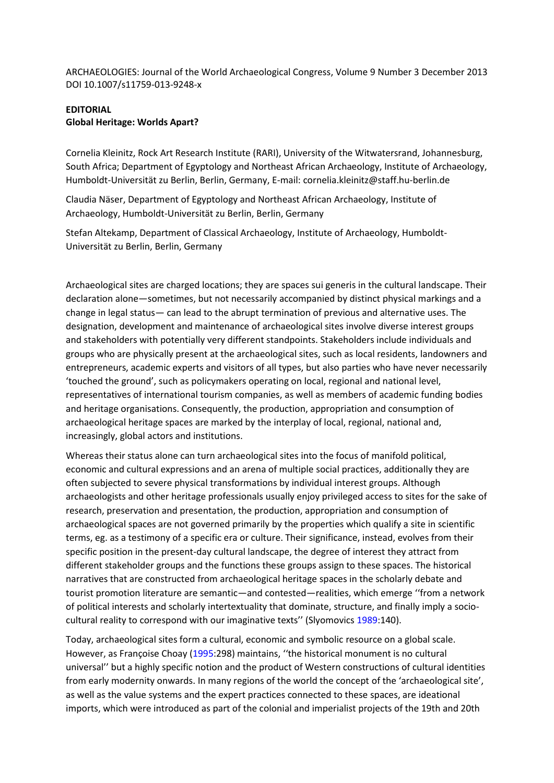ARCHAEOLOGIES: Journal of the World Archaeological Congress, Volume 9 Number 3 December 2013 DOI 10.1007/s11759-013-9248-x

## **EDITORIAL Global Heritage: Worlds Apart?**

Cornelia Kleinitz, Rock Art Research Institute (RARI), University of the Witwatersrand, Johannesburg, South Africa; Department of Egyptology and Northeast African Archaeology, Institute of Archaeology, Humboldt-Universität zu Berlin, Berlin, Germany, E-mail: cornelia.kleinitz@staff.hu-berlin.de

Claudia Näser, Department of Egyptology and Northeast African Archaeology, Institute of Archaeology, Humboldt-Universität zu Berlin, Berlin, Germany

Stefan Altekamp, Department of Classical Archaeology, Institute of Archaeology, Humboldt-Universität zu Berlin, Berlin, Germany

Archaeological sites are charged locations; they are spaces sui generis in the cultural landscape. Their declaration alone—sometimes, but not necessarily accompanied by distinct physical markings and a change in legal status— can lead to the abrupt termination of previous and alternative uses. The designation, development and maintenance of archaeological sites involve diverse interest groups and stakeholders with potentially very different standpoints. Stakeholders include individuals and groups who are physically present at the archaeological sites, such as local residents, landowners and entrepreneurs, academic experts and visitors of all types, but also parties who have never necessarily 'touched the ground', such as policymakers operating on local, regional and national level, representatives of international tourism companies, as well as members of academic funding bodies and heritage organisations. Consequently, the production, appropriation and consumption of archaeological heritage spaces are marked by the interplay of local, regional, national and, increasingly, global actors and institutions.

Whereas their status alone can turn archaeological sites into the focus of manifold political, economic and cultural expressions and an arena of multiple social practices, additionally they are often subjected to severe physical transformations by individual interest groups. Although archaeologists and other heritage professionals usually enjoy privileged access to sites for the sake of research, preservation and presentation, the production, appropriation and consumption of archaeological spaces are not governed primarily by the properties which qualify a site in scientific terms, eg. as a testimony of a specific era or culture. Their significance, instead, evolves from their specific position in the present-day cultural landscape, the degree of interest they attract from different stakeholder groups and the functions these groups assign to these spaces. The historical narratives that are constructed from archaeological heritage spaces in the scholarly debate and tourist promotion literature are semantic—and contested—realities, which emerge ''from a network of political interests and scholarly intertextuality that dominate, structure, and finally imply a sociocultural reality to correspond with our imaginative texts'' (Slyomovics 1989:140).

Today, archaeological sites form a cultural, economic and symbolic resource on a global scale. However, as Françoise Choay (1995:298) maintains, ''the historical monument is no cultural universal'' but a highly specific notion and the product of Western constructions of cultural identities from early modernity onwards. In many regions of the world the concept of the 'archaeological site', as well as the value systems and the expert practices connected to these spaces, are ideational imports, which were introduced as part of the colonial and imperialist projects of the 19th and 20th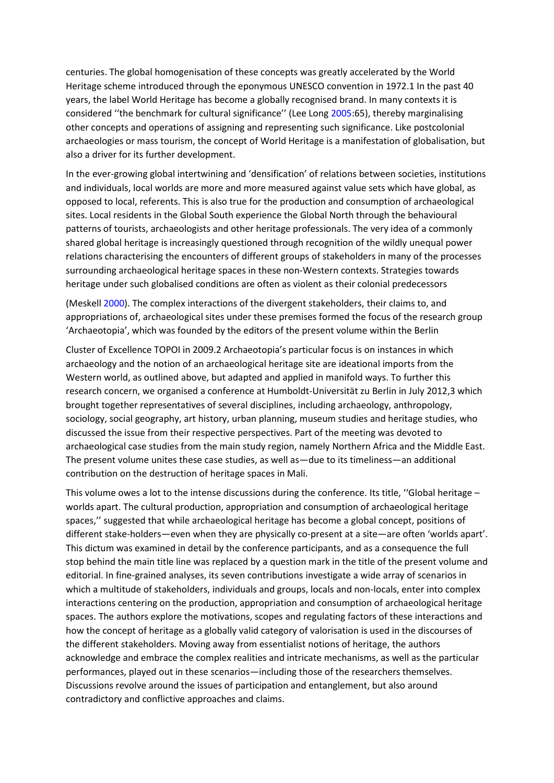centuries. The global homogenisation of these concepts was greatly accelerated by the World Heritage scheme introduced through the eponymous UNESCO convention in 1972.1 In the past 40 years, the label World Heritage has become a globally recognised brand. In many contexts it is considered ''the benchmark for cultural significance'' (Lee Long 2005:65), thereby marginalising other concepts and operations of assigning and representing such significance. Like postcolonial archaeologies or mass tourism, the concept of World Heritage is a manifestation of globalisation, but also a driver for its further development.

In the ever-growing global intertwining and 'densification' of relations between societies, institutions and individuals, local worlds are more and more measured against value sets which have global, as opposed to local, referents. This is also true for the production and consumption of archaeological sites. Local residents in the Global South experience the Global North through the behavioural patterns of tourists, archaeologists and other heritage professionals. The very idea of a commonly shared global heritage is increasingly questioned through recognition of the wildly unequal power relations characterising the encounters of different groups of stakeholders in many of the processes surrounding archaeological heritage spaces in these non-Western contexts. Strategies towards heritage under such globalised conditions are often as violent as their colonial predecessors

(Meskell 2000). The complex interactions of the divergent stakeholders, their claims to, and appropriations of, archaeological sites under these premises formed the focus of the research group 'Archaeotopia', which was founded by the editors of the present volume within the Berlin

Cluster of Excellence TOPOI in 2009.2 Archaeotopia's particular focus is on instances in which archaeology and the notion of an archaeological heritage site are ideational imports from the Western world, as outlined above, but adapted and applied in manifold ways. To further this research concern, we organised a conference at Humboldt-Universität zu Berlin in July 2012,3 which brought together representatives of several disciplines, including archaeology, anthropology, sociology, social geography, art history, urban planning, museum studies and heritage studies, who discussed the issue from their respective perspectives. Part of the meeting was devoted to archaeological case studies from the main study region, namely Northern Africa and the Middle East. The present volume unites these case studies, as well as—due to its timeliness—an additional contribution on the destruction of heritage spaces in Mali.

This volume owes a lot to the intense discussions during the conference. Its title, ''Global heritage – worlds apart. The cultural production, appropriation and consumption of archaeological heritage spaces,'' suggested that while archaeological heritage has become a global concept, positions of different stake-holders—even when they are physically co-present at a site—are often 'worlds apart'. This dictum was examined in detail by the conference participants, and as a consequence the full stop behind the main title line was replaced by a question mark in the title of the present volume and editorial. In fine-grained analyses, its seven contributions investigate a wide array of scenarios in which a multitude of stakeholders, individuals and groups, locals and non-locals, enter into complex interactions centering on the production, appropriation and consumption of archaeological heritage spaces. The authors explore the motivations, scopes and regulating factors of these interactions and how the concept of heritage as a globally valid category of valorisation is used in the discourses of the different stakeholders. Moving away from essentialist notions of heritage, the authors acknowledge and embrace the complex realities and intricate mechanisms, as well as the particular performances, played out in these scenarios—including those of the researchers themselves. Discussions revolve around the issues of participation and entanglement, but also around contradictory and conflictive approaches and claims.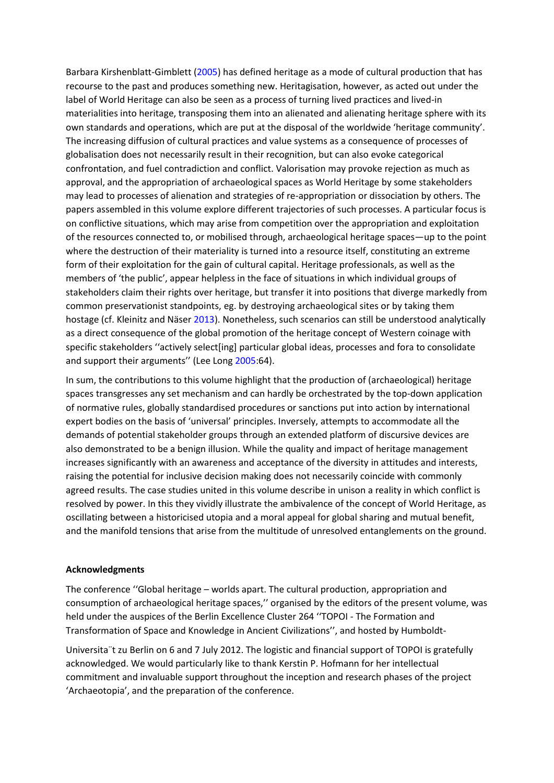Barbara Kirshenblatt-Gimblett (2005) has defined heritage as a mode of cultural production that has recourse to the past and produces something new. Heritagisation, however, as acted out under the label of World Heritage can also be seen as a process of turning lived practices and lived-in materialities into heritage, transposing them into an alienated and alienating heritage sphere with its own standards and operations, which are put at the disposal of the worldwide 'heritage community'. The increasing diffusion of cultural practices and value systems as a consequence of processes of globalisation does not necessarily result in their recognition, but can also evoke categorical confrontation, and fuel contradiction and conflict. Valorisation may provoke rejection as much as approval, and the appropriation of archaeological spaces as World Heritage by some stakeholders may lead to processes of alienation and strategies of re-appropriation or dissociation by others. The papers assembled in this volume explore different trajectories of such processes. A particular focus is on conflictive situations, which may arise from competition over the appropriation and exploitation of the resources connected to, or mobilised through, archaeological heritage spaces—up to the point where the destruction of their materiality is turned into a resource itself, constituting an extreme form of their exploitation for the gain of cultural capital. Heritage professionals, as well as the members of 'the public', appear helpless in the face of situations in which individual groups of stakeholders claim their rights over heritage, but transfer it into positions that diverge markedly from common preservationist standpoints, eg. by destroying archaeological sites or by taking them hostage (cf. Kleinitz and Näser 2013). Nonetheless, such scenarios can still be understood analytically as a direct consequence of the global promotion of the heritage concept of Western coinage with specific stakeholders ''actively select[ing] particular global ideas, processes and fora to consolidate and support their arguments" (Lee Long 2005:64).

In sum, the contributions to this volume highlight that the production of (archaeological) heritage spaces transgresses any set mechanism and can hardly be orchestrated by the top-down application of normative rules, globally standardised procedures or sanctions put into action by international expert bodies on the basis of 'universal' principles. Inversely, attempts to accommodate all the demands of potential stakeholder groups through an extended platform of discursive devices are also demonstrated to be a benign illusion. While the quality and impact of heritage management increases significantly with an awareness and acceptance of the diversity in attitudes and interests, raising the potential for inclusive decision making does not necessarily coincide with commonly agreed results. The case studies united in this volume describe in unison a reality in which conflict is resolved by power. In this they vividly illustrate the ambivalence of the concept of World Heritage, as oscillating between a historicised utopia and a moral appeal for global sharing and mutual benefit, and the manifold tensions that arise from the multitude of unresolved entanglements on the ground.

## **Acknowledgments**

The conference ''Global heritage – worlds apart. The cultural production, appropriation and consumption of archaeological heritage spaces,'' organised by the editors of the present volume, was held under the auspices of the Berlin Excellence Cluster 264 ''TOPOI - The Formation and Transformation of Space and Knowledge in Ancient Civilizations'', and hosted by Humboldt-

Universita¨t zu Berlin on 6 and 7 July 2012. The logistic and financial support of TOPOI is gratefully acknowledged. We would particularly like to thank Kerstin P. Hofmann for her intellectual commitment and invaluable support throughout the inception and research phases of the project 'Archaeotopia', and the preparation of the conference.